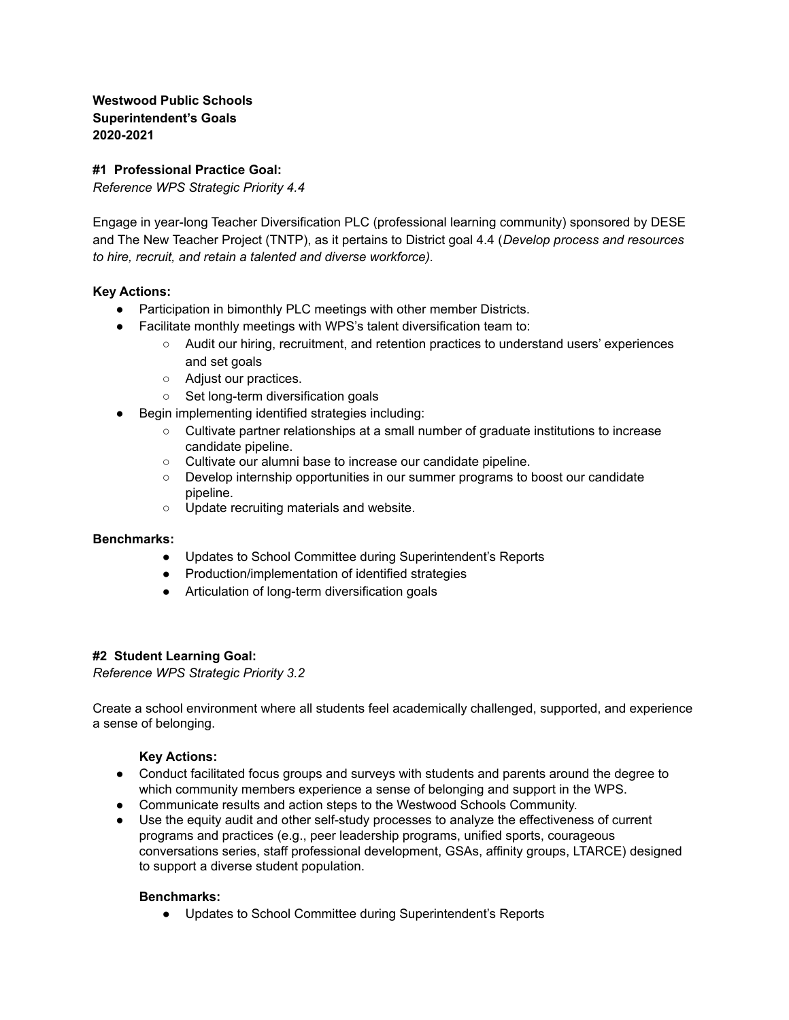**Westwood Public Schools Superintendent's Goals 2020-2021**

# **#1 Professional Practice Goal:**

*Reference WPS Strategic Priority 4.4*

Engage in year-long Teacher Diversification PLC (professional learning community) sponsored by DESE and The New Teacher Project (TNTP), as it pertains to District goal 4.4 (*Develop process and resources to hire, recruit, and retain a talented and diverse workforce).*

## **Key Actions:**

- Participation in bimonthly PLC meetings with other member Districts.
- Facilitate monthly meetings with WPS's talent diversification team to:
	- Audit our hiring, recruitment, and retention practices to understand users' experiences and set goals
	- Adjust our practices.
	- Set long-term diversification goals
- Begin implementing identified strategies including:
	- Cultivate partner relationships at a small number of graduate institutions to increase candidate pipeline.
	- Cultivate our alumni base to increase our candidate pipeline.
	- Develop internship opportunities in our summer programs to boost our candidate pipeline.
	- Update recruiting materials and website.

## **Benchmarks:**

- Updates to School Committee during Superintendent's Reports
- Production/implementation of identified strategies
- Articulation of long-term diversification goals

## **#2 Student Learning Goal:**

*Reference WPS Strategic Priority 3.2*

Create a school environment where all students feel academically challenged, supported, and experience a sense of belonging.

## **Key Actions:**

- Conduct facilitated focus groups and surveys with students and parents around the degree to which community members experience a sense of belonging and support in the WPS.
- Communicate results and action steps to the Westwood Schools Community.
- Use the equity audit and other self-study processes to analyze the effectiveness of current programs and practices (e.g., peer leadership programs, unified sports, courageous conversations series, staff professional development, GSAs, affinity groups, LTARCE) designed to support a diverse student population.

## **Benchmarks:**

● Updates to School Committee during Superintendent's Reports